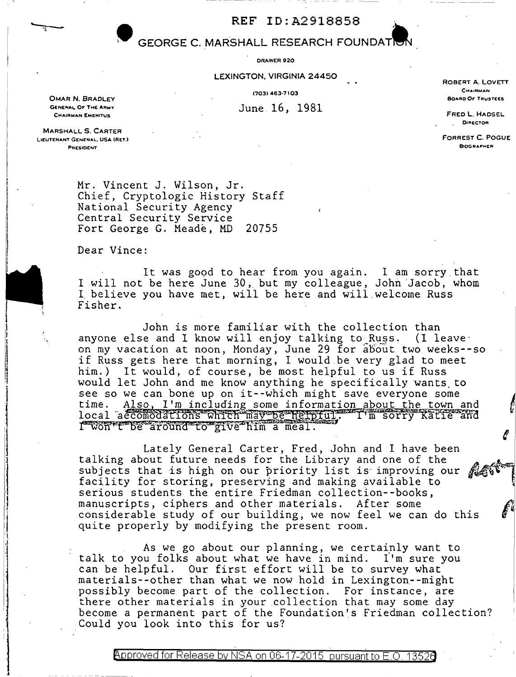## • **GEORGE C. MARSHALL RESEARCH FOUNDAT.**

ORAWER920

LEXINGTON, VIRGINIA 24450

June 16, 1981

OMAR N. BRADLEY GENEHAL OF THE ARMY **CHAIRMAN EMEHITUS** 

ROBERT A. LOVETT CHAIRMAN CHAIRMAN **CHAIRMAN**<br>BOARD OF TRUSTEES

> FRED L. HAOSEL **DIRECTOR**

FORREST C. POGUE **BIOGRAPHER** 

MARSHALL 5. CARTER LIEUTENANT GENERAL. USA (RET.) **PEECIDENT** 

l

 $\begin{array}{c} \begin{array}{c} \begin{array}{c} \begin{array}{c} \end{array} \\ \end{array} \end{array} \end{array}$ 1 .1

Mr. Vincent J. Wilson, Jr. Chief, Cryptologic History Staff National Security Agency Central Security Service Fort George G. Meade, MD 20755

Dear Vince:

It was good to hear from you again. I am sorry that I will not be here June 30, but my colleague, John Jacob, whom I. believe you have met, will be here and will.welcome Russ Fisher.

John is more familiar with the collection than anyone else and I know will enjoy talking to Russ. (I leaveon my vacation at noon, Monday, June 29 for about two weeks--so on my vacation at hoon, honday, oune 25 for about two weeks him.) It would, of course, be most helpful to us if Russ would let John and me know anything he specifically wants to see so we can bone up on it--which might save everyone some time. Also, I'm including some information about the town and see so we can bone up on it--which might save everyone some<br>time. Also, I'm including some information about the town and<br>local accomodations which may be helpful. I'm sorry Katie and<br>I won't be around to give him a meal.

Lately General Carter, Fred, John and I have been talking about future needs for the Library and one of the subjects that is high on our priority list is improving our<br>facility for storing, preserving and making available to serious students the entire Friedman collection--books, manuscripts, ciphers and other materials. After some considerable study of our building, we now feel we can do this quite properly by modifying the present room.

As we go about our planning, we certainly want to talk to you folks about what we have in mind. I'm sure you can be helpful. Our first effort will be to survey what materials--other than what we now hold in Lexington--might possibly become part of the collection. For instance, are there other materials in your collection that may some day become *a* permanent part of the Foundation's Friedman collection? Could you look into this for us?

Approved for Release by NSA on 06-17-2015 pursuant to E.O. 1352 $\epsilon$